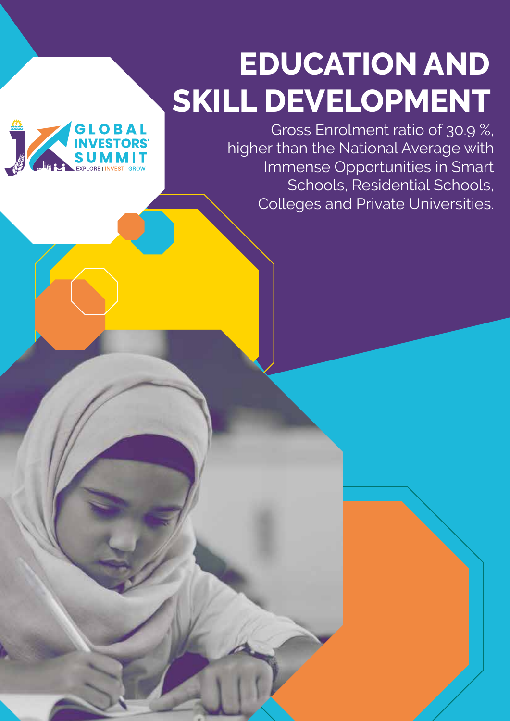# **EDUCATION AND SKILL DEVELOPMENT**



Gross Enrolment ratio of 30.9 %, higher than the National Average with Immense Opportunities in Smart Schools, Residential Schools, Colleges and Private Universities.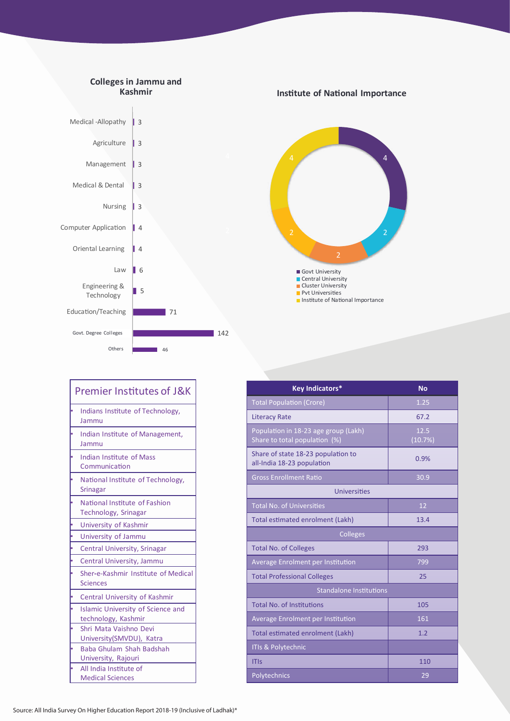

| <b>Key Indicators*</b>                                                | <b>No</b> |
|-----------------------------------------------------------------------|-----------|
| <b>Total Population (Crore)</b>                                       | 1.25      |
| <b>Literacy Rate</b>                                                  | 67.2      |
|                                                                       | 12.5      |
| Population in 18-23 age group (Lakh)<br>Share to total population (%) | (10.7%)   |
| Share of state 18-23 population to<br>all-India 18-23 population      | 0.9%      |
| <b>Gross Enrollment Ratio</b>                                         | 30.9      |
| Universities                                                          |           |
| <b>Total No. of Universities</b>                                      | 12        |
| Total estimated enrolment (Lakh)                                      | 13.4      |
| Colleges                                                              |           |
| <b>Total No. of Colleges</b>                                          | 293       |
| Average Enrolment per Institution                                     | 799       |
| <b>Total Professional Colleges</b>                                    | 25        |
| <b>Standalone Institutions</b>                                        |           |
| <b>Total No. of Institutions</b>                                      | 105       |
| Average Enrolment per Institution                                     | 161       |
| Total estimated enrolment (Lakh)                                      | 1.2       |
| <b>ITIs &amp; Polytechnic</b>                                         |           |
| <b>ITIs</b>                                                           | 110       |
| Polytechnics                                                          | 29        |

4

 $\overline{2}$ 

|   | <b>Premier Institutes of J&amp;K</b>                            |  |
|---|-----------------------------------------------------------------|--|
|   | Indians Institute of Technology,<br>Jammu                       |  |
|   | Indian Institute of Management,<br>Jammu                        |  |
|   | <b>Indian Institute of Mass</b><br>Communication                |  |
|   | National Institute of Technology,<br><b>Srinagar</b>            |  |
|   | National Institute of Fashion<br>Technology, Srinagar           |  |
|   | University of Kashmir                                           |  |
|   | University of Jammu                                             |  |
|   | <b>Central University, Srinagar</b>                             |  |
|   | Central University, Jammu                                       |  |
|   | Sher-e-Kashmir Institute of Medical<br><b>Sciences</b>          |  |
|   | Central University of Kashmir                                   |  |
|   | <b>Islamic University of Science and</b><br>technology, Kashmir |  |
|   | Shri Mata Vaishno Devi                                          |  |
|   | University(SMVDU), Katra                                        |  |
| b | Baba Ghulam Shah Badshah                                        |  |
|   | University, Rajouri                                             |  |
|   | All India Institute of                                          |  |
|   | <b>Medical Sciences</b>                                         |  |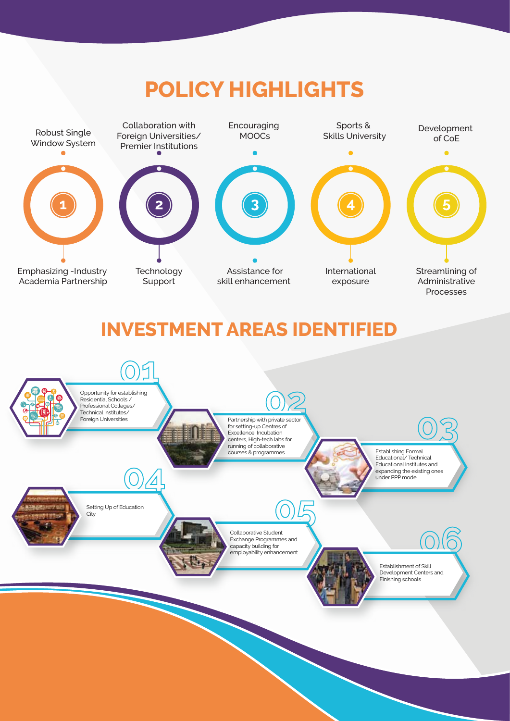## **POLICY HIGHLIGHTS**



## **INVESTMENT AREAS IDENTIFIED**